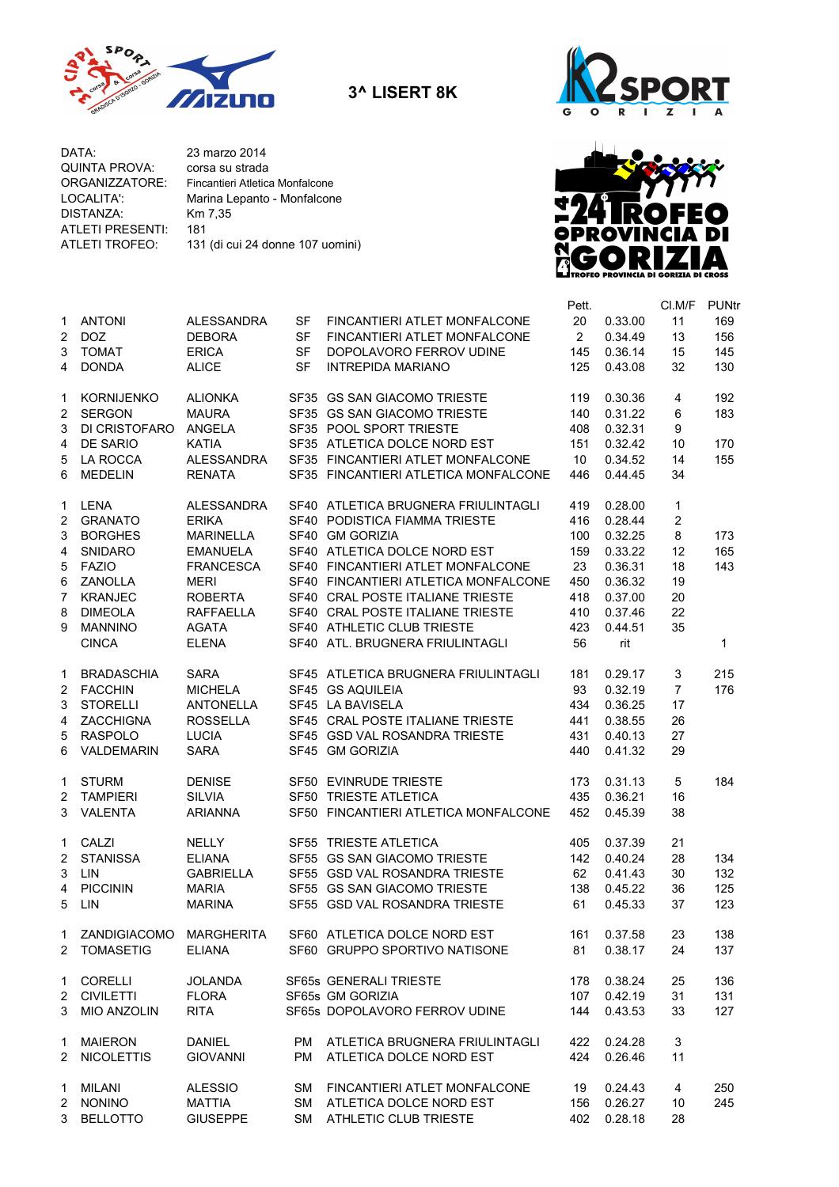

**3^ LISERT 8K**



DATA: 23 marzo 2014<br>QUINTA PROVA: corsa su strada QUINTA PROVA: ORGANIZZATORE: LOCALITA': Marina Lepanto - Monfalcone<br>DISTANZA: Km 7,35 DISTANZA: ATLETI PRESENTI: 181<br>ATLETI TROFEO: 131

131 (di cui 24 donne 107 uomini) Fincantieri Atletica Monfalcone



|                |                           |                   |           |                                      | Pett.                |             | CI.M/F         | <b>PUNtr</b> |
|----------------|---------------------------|-------------------|-----------|--------------------------------------|----------------------|-------------|----------------|--------------|
|                | 1 ANTONI                  | <b>ALESSANDRA</b> | <b>SF</b> | FINCANTIERI ATLET MONFALCONE         | 20                   | 0.33.00     | 11             | 169          |
| $\overline{2}$ | DOZ                       | <b>DEBORA</b>     | SF        | FINCANTIERI ATLET MONFALCONE         | $\mathbf{2}^{\circ}$ | 0.34.49     | 13             | 156          |
| 3              | <b>TOMAT</b>              | <b>ERICA</b>      | <b>SF</b> | DOPOLAVORO FERROV UDINE              | 145                  | 0.36.14     | 15             | 145          |
| 4              | <b>DONDA</b>              | <b>ALICE</b>      | <b>SF</b> | <b>INTREPIDA MARIANO</b>             | 125                  | 0.43.08     | 32             | 130          |
|                |                           |                   |           |                                      |                      |             |                |              |
| 1              | KORNIJENKO                | <b>ALIONKA</b>    |           | SF35 GS SAN GIACOMO TRIESTE          | 119                  | 0.30.36     | 4              | 192          |
| 2              | <b>SERGON</b>             | <b>MAURA</b>      |           | SF35 GS SAN GIACOMO TRIESTE          | 140                  | 0.31.22     | 6              | 183          |
| 3              | DI CRISTOFARO             | ANGELA            |           | SF35 POOL SPORT TRIESTE              | 408                  | 0.32.31     | 9              |              |
| 4              | DE SARIO                  | <b>KATIA</b>      |           | SF35 ATLETICA DOLCE NORD EST         | 151                  | 0.32.42     | 10             | 170          |
| 5              | LA ROCCA                  | <b>ALESSANDRA</b> |           | SF35 FINCANTIERI ATLET MONFALCONE    | 10                   | 0.34.52     | 14             | 155          |
| 6              | <b>MEDELIN</b>            | <b>RENATA</b>     |           | SF35 FINCANTIERI ATLETICA MONFALCONE | 446                  | 0.44.45     | 34             |              |
|                |                           |                   |           |                                      |                      |             |                |              |
| 1              | LENA                      | ALESSANDRA        |           | SF40 ATLETICA BRUGNERA FRIULINTAGLI  | 419                  | 0.28.00     | 1              |              |
|                | 2 GRANATO                 | <b>ERIKA</b>      |           | SF40 PODISTICA FIAMMA TRIESTE        | 416                  | 0.28.44     | 2              |              |
| 3              | <b>BORGHES</b>            | <b>MARINELLA</b>  |           | SF40 GM GORIZIA                      | 100                  | 0.32.25     | 8              | 173          |
| 4              | SNIDARO                   | <b>EMANUELA</b>   |           | SF40 ATLETICA DOLCE NORD EST         | 159                  | 0.33.22     | 12             | 165          |
| 5              | FAZIO                     | <b>FRANCESCA</b>  |           | SF40 FINCANTIERI ATLET MONFALCONE    | 23                   | 0.36.31     | 18             | 143          |
| 6              | ZANOLLA                   | <b>MERI</b>       |           | SF40 FINCANTIERI ATLETICA MONFALCONE | 450                  | 0.36.32     | 19             |              |
| $\overline{7}$ | KRANJEC                   | <b>ROBERTA</b>    |           | SF40 CRAL POSTE ITALIANE TRIESTE     | 418                  | 0.37.00     | 20             |              |
| 8              | <b>DIMEOLA</b>            | <b>RAFFAELLA</b>  |           | SF40 CRAL POSTE ITALIANE TRIESTE     | 410                  | 0.37.46     | 22             |              |
| 9              | <b>MANNINO</b>            | <b>AGATA</b>      |           | SF40 ATHLETIC CLUB TRIESTE           | 423                  | 0.44.51     | 35             |              |
|                |                           |                   |           |                                      |                      |             |                |              |
|                | <b>CINCA</b>              | <b>ELENA</b>      |           | SF40 ATL. BRUGNERA FRIULINTAGLI      | 56                   | rit         |                | 1            |
| 1              | <b>BRADASCHIA</b>         | <b>SARA</b>       |           | SF45 ATLETICA BRUGNERA FRIULINTAGLI  | 181                  | 0.29.17     | 3              | 215          |
|                | 2 FACCHIN                 | <b>MICHELA</b>    |           | SF45 GS AQUILEIA                     | 93                   | 0.32.19     | $\overline{7}$ | 176          |
| 3              | <b>STORELLI</b>           | <b>ANTONELLA</b>  |           | SF45 LA BAVISELA                     | 434                  | 0.36.25     | 17             |              |
| 4              | ZACCHIGNA                 | <b>ROSSELLA</b>   |           | SF45 CRAL POSTE ITALIANE TRIESTE     | 441                  | 0.38.55     | 26             |              |
| 5              | RASPOLO                   | <b>LUCIA</b>      |           | SF45 GSD VAL ROSANDRA TRIESTE        | 431                  | 0.40.13     | 27             |              |
| 6              | VALDEMARIN                | <b>SARA</b>       |           | SF45 GM GORIZIA                      | 440                  | 0.41.32     | 29             |              |
|                |                           |                   |           |                                      |                      |             |                |              |
| 1              | STURM                     | <b>DENISE</b>     |           | SF50 EVINRUDE TRIESTE                | 173                  | 0.31.13     | 5              | 184          |
|                | 2 TAMPIERI                | <b>SILVIA</b>     |           | SF50 TRIESTE ATLETICA                | 435                  | 0.36.21     | 16             |              |
|                | 3 VALENTA                 | <b>ARIANNA</b>    |           | SF50 FINCANTIERI ATLETICA MONFALCONE | 452                  | 0.45.39     | 38             |              |
|                | 1 CALZI                   | <b>NELLY</b>      |           | SF55 TRIESTE ATLETICA                | 405                  | 0.37.39     | 21             |              |
|                | 2 STANISSA                | <b>ELIANA</b>     |           | SF55 GS SAN GIACOMO TRIESTE          | 142                  | 0.40.24     | 28             | 134          |
| 3              | <b>LIN</b>                | <b>GABRIELLA</b>  |           | SF55 GSD VAL ROSANDRA TRIESTE        | 62                   | 0.41.43     | 30             | 132          |
| $\overline{4}$ | <b>PICCININ</b>           |                   |           | SF55 GS SAN GIACOMO TRIESTE          |                      |             |                |              |
|                |                           | <b>MARIA</b>      |           |                                      | 138                  | 0.45.22     | 36             | 125          |
|                | 5 LIN                     | <b>MARINA</b>     |           | SF55 GSD VAL ROSANDRA TRIESTE        | 61                   | 0.45.33     | 37             | 123          |
|                | 1 ZANDIGIACOMO MARGHERITA |                   |           | SF60 ATLETICA DOLCE NORD EST         |                      | 161 0.37.58 | 23             | 138          |
|                | 2 TOMASETIG               | <b>ELIANA</b>     |           | SF60 GRUPPO SPORTIVO NATISONE        | 81                   | 0.38.17     | 24             | 137          |
|                |                           |                   |           |                                      |                      |             |                |              |
|                | 1 CORELLI                 | <b>JOLANDA</b>    |           | SF65s GENERALI TRIESTE               | 178                  | 0.38.24     | 25             | 136          |
|                | 2 CIVILETTI               | <b>FLORA</b>      |           | SF65s GM GORIZIA                     | 107                  | 0.42.19     | 31             | 131          |
| 3              | MIO ANZOLIN               | <b>RITA</b>       |           | SF65s DOPOLAVORO FERROV UDINE        | 144                  | 0.43.53     | 33             | 127          |
|                | 1 MAIERON                 | <b>DANIEL</b>     | <b>PM</b> | ATLETICA BRUGNERA FRIULINTAGLI       | 422                  | 0.24.28     | 3              |              |
|                | 2 NICOLETTIS              | <b>GIOVANNI</b>   | <b>PM</b> | ATLETICA DOLCE NORD EST              | 424                  | 0.26.46     | 11             |              |
|                |                           |                   |           | SM FINCANTIERI ATLET MONFALCONE      |                      |             |                |              |
|                | 1 MILANI                  | <b>ALESSIO</b>    |           |                                      | 19                   | 0.24.43     | 4              | 250          |
|                | 2 NONINO                  | <b>MATTIA</b>     |           | SM ATLETICA DOLCE NORD EST           | 156                  | 0.26.27     | 10             | 245          |
|                | 3 BELLOTTO                | <b>GIUSEPPE</b>   |           | SM ATHLETIC CLUB TRIESTE             | 402                  | 0.28.18     | 28             |              |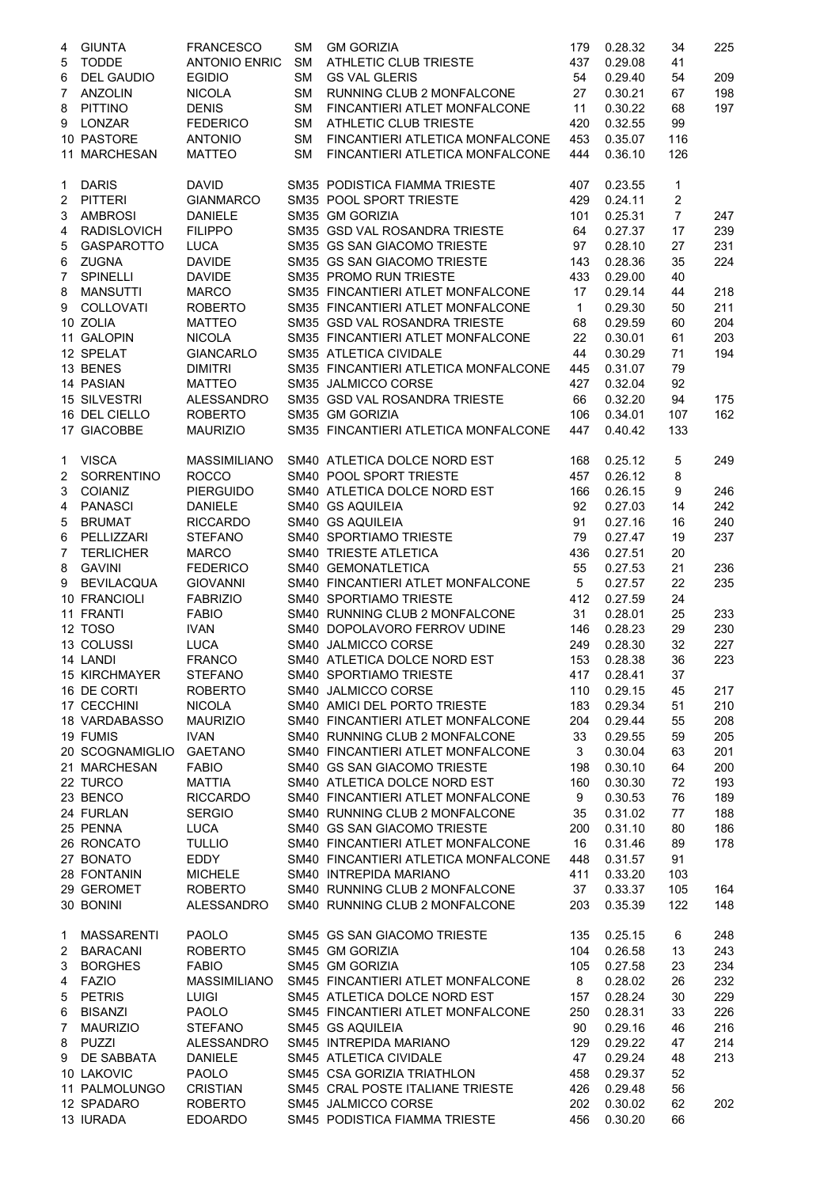| 4                   | <b>GIUNTA</b>                  | <b>FRANCESCO</b>                | <b>SM</b>       | <b>GM GORIZIA</b>                                                  | 179          | 0.28.32            | 34                      | 225        |
|---------------------|--------------------------------|---------------------------------|-----------------|--------------------------------------------------------------------|--------------|--------------------|-------------------------|------------|
| 5                   | <b>TODDE</b>                   | <b>ANTONIO ENRIC</b>            | <b>SM</b>       | ATHLETIC CLUB TRIESTE                                              | 437          | 0.29.08            | 41                      |            |
| 6                   | <b>DEL GAUDIO</b>              | <b>EGIDIO</b>                   | <b>SM</b>       | <b>GS VAL GLERIS</b>                                               | 54           | 0.29.40            | 54                      | 209        |
| $\overline{7}$      | ANZOLIN                        | <b>NICOLA</b>                   | SM.             | RUNNING CLUB 2 MONFALCONE                                          | 27           | 0.30.21            | 67                      | 198        |
| 8                   | PITTINO                        | <b>DENIS</b>                    | <b>SM</b>       | FINCANTIERI ATLET MONFALCONE                                       | 11           | 0.30.22            | 68                      | 197        |
| 9                   | LONZAR                         | <b>FEDERICO</b>                 | <b>SM</b>       | ATHLETIC CLUB TRIESTE                                              | 420          | 0.32.55            | 99                      |            |
|                     | 10 PASTORE<br>11 MARCHESAN     | <b>ANTONIO</b><br><b>MATTEO</b> | SM<br><b>SM</b> | FINCANTIERI ATLETICA MONFALCONE<br>FINCANTIERI ATLETICA MONFALCONE | 453<br>444   | 0.35.07<br>0.36.10 | 116<br>126              |            |
| 1                   | <b>DARIS</b>                   | <b>DAVID</b>                    |                 | SM35 PODISTICA FIAMMA TRIESTE                                      | 407          | 0.23.55            | 1                       |            |
| 2                   | PITTERI                        | <b>GIANMARCO</b>                |                 | SM35 POOL SPORT TRIESTE                                            | 429          | 0.24.11            | $\overline{\mathbf{c}}$ |            |
| 3                   | AMBROSI                        | <b>DANIELE</b>                  |                 | SM35 GM GORIZIA                                                    | 101          | 0.25.31            | $\overline{7}$          | 247        |
| 4                   | <b>RADISLOVICH</b>             | <b>FILIPPO</b>                  |                 | SM35 GSD VAL ROSANDRA TRIESTE                                      | 64           | 0.27.37            | 17                      | 239        |
| 5                   | GASPAROTTO                     | <b>LUCA</b>                     |                 | SM35 GS SAN GIACOMO TRIESTE                                        | 97           | 0.28.10            | 27                      | 231        |
| 6                   | <b>ZUGNA</b>                   | <b>DAVIDE</b>                   |                 | SM35 GS SAN GIACOMO TRIESTE                                        | 143          | 0.28.36            | 35                      | 224        |
| $\overline{7}$      | SPINELLI                       | <b>DAVIDE</b>                   |                 | SM35 PROMO RUN TRIESTE                                             | 433          | 0.29.00            | 40                      |            |
| 8                   | MANSUTTI                       | <b>MARCO</b>                    |                 | SM35 FINCANTIERI ATLET MONFALCONE                                  | 17           | 0.29.14            | 44                      | 218        |
|                     | 9 COLLOVATI                    | <b>ROBERTO</b>                  |                 | SM35 FINCANTIERI ATLET MONFALCONE                                  | $\mathbf{1}$ | 0.29.30            | 50                      | 211        |
|                     | 10 ZOLIA                       | <b>MATTEO</b>                   |                 | SM35 GSD VAL ROSANDRA TRIESTE                                      | 68           | 0.29.59            | 60                      | 204        |
|                     | 11 GALOPIN                     | <b>NICOLA</b>                   |                 | SM35 FINCANTIERI ATLET MONFALCONE                                  | 22           | 0.30.01            | 61                      | 203        |
|                     | 12 SPELAT                      | <b>GIANCARLO</b>                |                 | SM35 ATLETICA CIVIDALE                                             | 44           | 0.30.29            | 71                      | 194        |
|                     | 13 BENES                       | <b>DIMITRI</b>                  |                 | SM35 FINCANTIERI ATLETICA MONFALCONE                               | 445          | 0.31.07            | 79                      |            |
|                     | 14 PASIAN                      | <b>MATTEO</b>                   |                 | SM35 JALMICCO CORSE                                                | 427          | 0.32.04            | 92                      |            |
|                     | 15 SILVESTRI                   | ALESSANDRO                      |                 | SM35 GSD VAL ROSANDRA TRIESTE                                      | 66           | 0.32.20            | 94                      | 175        |
|                     | 16 DEL CIELLO                  | <b>ROBERTO</b>                  |                 | SM35 GM GORIZIA                                                    | 106          | 0.34.01            | 107                     | 162        |
|                     | 17 GIACOBBE                    | <b>MAURIZIO</b>                 |                 | SM35 FINCANTIERI ATLETICA MONFALCONE                               | 447          | 0.40.42            | 133                     |            |
|                     | 1 VISCA                        | <b>MASSIMILIANO</b>             |                 | SM40 ATLETICA DOLCE NORD EST                                       | 168          | 0.25.12            | 5                       | 249        |
|                     | 2 SORRENTINO                   | <b>ROCCO</b>                    |                 | SM40 POOL SPORT TRIESTE                                            | 457          | 0.26.12            | 8                       |            |
| 3                   | <b>COIANIZ</b>                 | <b>PIERGUIDO</b>                |                 | SM40 ATLETICA DOLCE NORD EST                                       | 166          | 0.26.15            | 9                       | 246        |
| 4                   | PANASCI                        | <b>DANIELE</b>                  |                 | SM40 GS AQUILEIA                                                   | 92           | 0.27.03            | 14                      | 242        |
| 5                   | <b>BRUMAT</b>                  | <b>RICCARDO</b>                 |                 | SM40 GS AQUILEIA                                                   | 91           | 0.27.16            | 16                      | 240        |
| 6<br>$\overline{7}$ | PELLIZZARI<br><b>TERLICHER</b> | <b>STEFANO</b><br><b>MARCO</b>  |                 | SM40 SPORTIAMO TRIESTE<br>SM40 TRIESTE ATLETICA                    | 79<br>436    | 0.27.47<br>0.27.51 | 19<br>20                | 237        |
| 8                   | <b>GAVINI</b>                  | <b>FEDERICO</b>                 |                 | SM40 GEMONATLETICA                                                 | 55           | 0.27.53            | 21                      | 236        |
| 9                   | <b>BEVILACQUA</b>              | <b>GIOVANNI</b>                 |                 | SM40 FINCANTIERI ATLET MONFALCONE                                  | 5            | 0.27.57            | 22                      | 235        |
|                     | 10 FRANCIOLI                   | <b>FABRIZIO</b>                 |                 | SM40 SPORTIAMO TRIESTE                                             | 412          | 0.27.59            | 24                      |            |
|                     | 11 FRANTI                      | <b>FABIO</b>                    |                 | SM40 RUNNING CLUB 2 MONFALCONE                                     | 31           | 0.28.01            | 25                      | 233        |
|                     | 12 TOSO                        | <b>IVAN</b>                     |                 | SM40 DOPOLAVORO FERROV UDINE                                       | 146          | 0.28.23            | 29                      | 230        |
|                     | 13 COLUSSI                     | <b>LUCA</b>                     |                 | SM40 JALMICCO CORSE                                                | 249          | 0.28.30            | 32                      | 227        |
|                     | 14 LANDI                       | <b>FRANCO</b>                   |                 | SM40 ATLETICA DOLCE NORD EST                                       | 153          | 0.28.38            | 36                      | 223        |
|                     | <b>15 KIRCHMAYER</b>           | <b>STEFANO</b>                  |                 | SM40 SPORTIAMO TRIESTE                                             | 417          | 0.28.41            | 37                      |            |
|                     | 16 DE CORTI                    | <b>ROBERTO</b>                  |                 | SM40 JALMICCO CORSE                                                | 110          | 0.29.15            | 45                      | 217        |
|                     | 17 CECCHINI                    | <b>NICOLA</b>                   |                 | SM40 AMICI DEL PORTO TRIESTE                                       | 183          | 0.29.34            | 51                      | 210        |
|                     | <b>18 VARDABASSO</b>           | <b>MAURIZIO</b>                 |                 | SM40 FINCANTIERI ATLET MONFALCONE                                  | 204          | 0.29.44            | 55                      | 208        |
|                     | 19 FUMIS                       | <b>IVAN</b>                     |                 | SM40 RUNNING CLUB 2 MONFALCONE                                     | 33           | 0.29.55            | 59                      | 205        |
|                     | 20 SCOGNAMIGLIO                | <b>GAETANO</b>                  |                 | SM40 FINCANTIERI ATLET MONFALCONE                                  | 3            | 0.30.04            | 63                      | 201        |
|                     | 21 MARCHESAN                   | <b>FABIO</b>                    |                 | SM40 GS SAN GIACOMO TRIESTE                                        | 198          | 0.30.10            | 64                      | 200        |
|                     | 22 TURCO                       | <b>MATTIA</b>                   |                 | SM40 ATLETICA DOLCE NORD EST                                       | 160          | 0.30.30            | 72                      | 193        |
|                     | 23 BENCO                       | <b>RICCARDO</b>                 |                 | SM40 FINCANTIERI ATLET MONFALCONE                                  | 9            | 0.30.53            | 76                      | 189        |
|                     | 24 FURLAN                      | <b>SERGIO</b>                   |                 | SM40 RUNNING CLUB 2 MONFALCONE                                     | 35           | 0.31.02            | 77                      | 188        |
|                     | 25 PENNA                       | <b>LUCA</b>                     |                 | SM40 GS SAN GIACOMO TRIESTE                                        | 200          | 0.31.10            | 80                      | 186        |
|                     | 26 RONCATO                     | <b>TULLIO</b>                   |                 | SM40 FINCANTIERI ATLET MONFALCONE                                  | 16           | 0.31.46            | 89                      | 178        |
|                     | 27 BONATO                      | EDDY                            |                 | SM40 FINCANTIERI ATLETICA MONFALCONE                               | 448          | 0.31.57            | 91                      |            |
|                     | 28 FONTANIN                    | <b>MICHELE</b>                  |                 | SM40 INTREPIDA MARIANO                                             | 411          | 0.33.20            | 103                     |            |
|                     | 29 GEROMET<br>30 BONINI        | <b>ROBERTO</b>                  |                 | SM40 RUNNING CLUB 2 MONFALCONE<br>SM40 RUNNING CLUB 2 MONFALCONE   | 37<br>203    | 0.33.37<br>0.35.39 | 105                     | 164<br>148 |
|                     |                                | ALESSANDRO                      |                 |                                                                    |              |                    | 122                     |            |
| 1                   | <b>MASSARENTI</b>              | <b>PAOLO</b>                    |                 | SM45 GS SAN GIACOMO TRIESTE                                        | 135          | 0.25.15            | 6                       | 248        |
|                     | 2 BARACANI                     | <b>ROBERTO</b>                  |                 | SM45 GM GORIZIA                                                    | 104          | 0.26.58            | 13                      | 243        |
| 3                   | <b>BORGHES</b>                 | <b>FABIO</b>                    |                 | SM45 GM GORIZIA                                                    | 105          | 0.27.58            | 23                      | 234        |
| 4                   | FAZIO                          | MASSIMILIANO                    |                 | SM45 FINCANTIERI ATLET MONFALCONE                                  | 8            | 0.28.02            | 26                      | 232        |
| 5                   | <b>PETRIS</b>                  | <b>LUIGI</b>                    |                 | SM45 ATLETICA DOLCE NORD EST                                       | 157          | 0.28.24            | 30                      | 229        |
| 6                   | <b>BISANZI</b>                 | <b>PAOLO</b>                    |                 | SM45 FINCANTIERI ATLET MONFALCONE                                  | 250          | 0.28.31            | 33                      | 226        |
| $\overline{7}$      | <b>MAURIZIO</b>                | <b>STEFANO</b>                  |                 | SM45 GS AQUILEIA                                                   | 90           | 0.29.16            | 46                      | 216        |
| 8                   | PUZZI                          | <b>ALESSANDRO</b>               |                 | SM45 INTREPIDA MARIANO                                             | 129          | 0.29.22            | 47                      | 214        |
| 9                   | DE SABBATA<br>10 LAKOVIC       | DANIELE<br><b>PAOLO</b>         |                 | SM45 ATLETICA CIVIDALE<br>SM45 CSA GORIZIA TRIATHLON               | 47<br>458    | 0.29.24<br>0.29.37 | 48<br>52                | 213        |
|                     | 11 PALMOLUNGO                  | <b>CRISTIAN</b>                 |                 | SM45 CRAL POSTE ITALIANE TRIESTE                                   | 426          | 0.29.48            | 56                      |            |
|                     | 12 SPADARO                     | <b>ROBERTO</b>                  |                 | SM45 JALMICCO CORSE                                                | 202          | 0.30.02            | 62                      | 202        |
|                     | 13 IURADA                      | <b>EDOARDO</b>                  |                 | SM45 PODISTICA FIAMMA TRIESTE                                      | 456          | 0.30.20            | 66                      |            |
|                     |                                |                                 |                 |                                                                    |              |                    |                         |            |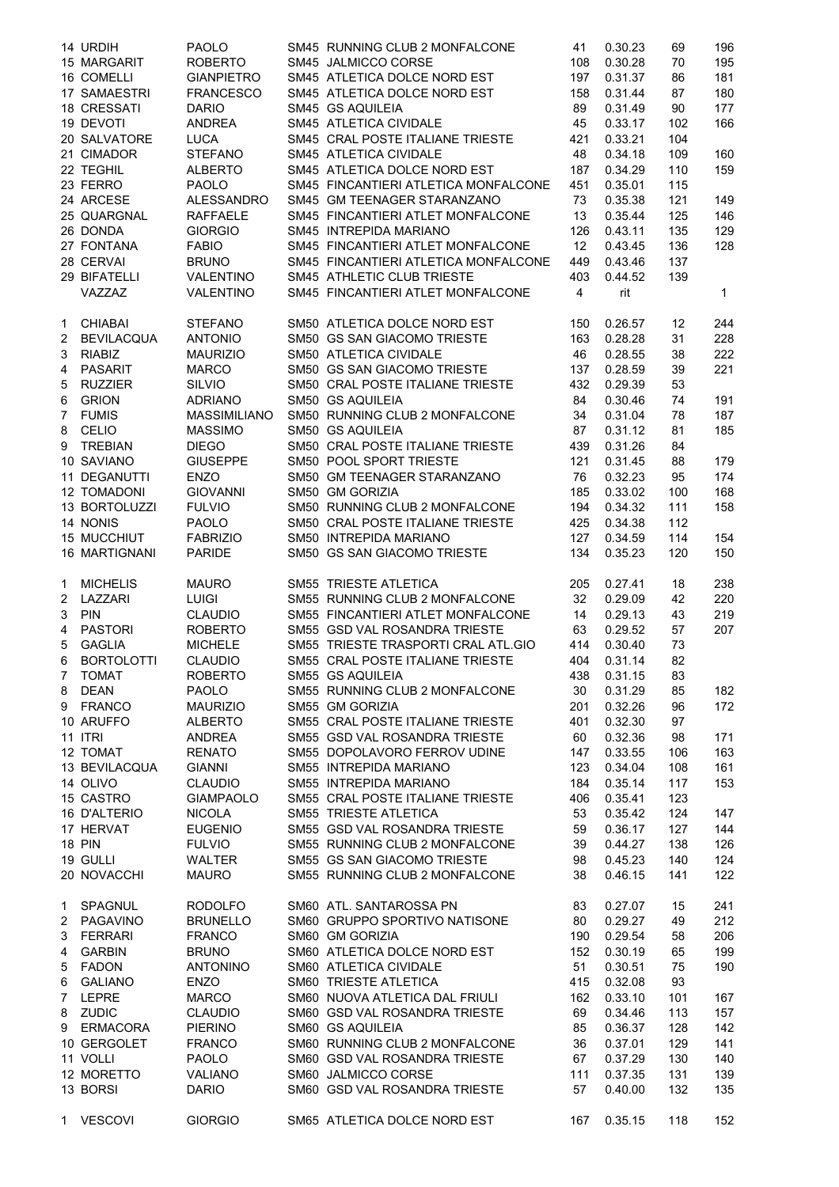|             | 14 URDIH             | <b>PAOLO</b>        | SM45 RUNNING CLUB 2 MONFALCONE       | 41              | 0.30.23 | 69  | 196 |
|-------------|----------------------|---------------------|--------------------------------------|-----------------|---------|-----|-----|
|             | 15 MARGARIT          | <b>ROBERTO</b>      | SM45 JALMICCO CORSE                  | 108             | 0.30.28 | 70  | 195 |
|             | 16 COMELLI           | <b>GIANPIETRO</b>   | SM45 ATLETICA DOLCE NORD EST         | 197             | 0.31.37 | 86  | 181 |
|             | <b>17 SAMAESTRI</b>  | <b>FRANCESCO</b>    | SM45 ATLETICA DOLCE NORD EST         | 158             | 0.31.44 | 87  | 180 |
|             | 18 CRESSATI          | <b>DARIO</b>        | SM45 GS AQUILEIA                     | 89              | 0.31.49 | 90  | 177 |
|             | 19 DEVOTI            | <b>ANDREA</b>       | SM45 ATLETICA CIVIDALE               | 45              | 0.33.17 | 102 | 166 |
|             | 20 SALVATORE         | <b>LUCA</b>         | SM45 CRAL POSTE ITALIANE TRIESTE     | 421             | 0.33.21 | 104 |     |
|             | 21 CIMADOR           | <b>STEFANO</b>      | SM45 ATLETICA CIVIDALE               | 48              | 0.34.18 | 109 | 160 |
|             | 22 TEGHIL            | <b>ALBERTO</b>      | SM45 ATLETICA DOLCE NORD EST         | 187             | 0.34.29 | 110 | 159 |
|             | 23 FERRO             | <b>PAOLO</b>        | SM45 FINCANTIERI ATLETICA MONFALCONE | 451             | 0.35.01 | 115 |     |
|             | 24 ARCESE            | <b>ALESSANDRO</b>   | SM45 GM TEENAGER STARANZANO          | 73              | 0.35.38 | 121 | 149 |
|             | 25 QUARGNAL          | <b>RAFFAELE</b>     | SM45 FINCANTIERI ATLET MONFALCONE    | 13              | 0.35.44 | 125 | 146 |
|             | 26 DONDA             | <b>GIORGIO</b>      | SM45 INTREPIDA MARIANO               | 126             | 0.43.11 | 135 | 129 |
|             | 27 FONTANA           | <b>FABIO</b>        | SM45 FINCANTIERI ATLET MONFALCONE    | 12 <sup>°</sup> | 0.43.45 | 136 | 128 |
|             | 28 CERVAI            | <b>BRUNO</b>        | SM45 FINCANTIERI ATLETICA MONFALCONE | 449             | 0.43.46 | 137 |     |
|             | 29 BIFATELLI         | VALENTINO           | SM45 ATHLETIC CLUB TRIESTE           | 403             | 0.44.52 | 139 |     |
|             | VAZZAZ               | VALENTINO           | SM45 FINCANTIERI ATLET MONFALCONE    | $\overline{4}$  | rit     |     | 1   |
| $1 \quad$   | <b>CHIABAI</b>       | <b>STEFANO</b>      | SM50 ATLETICA DOLCE NORD EST         | 150             | 0.26.57 | 12  | 244 |
| $2^{\circ}$ | <b>BEVILACQUA</b>    | <b>ANTONIO</b>      | SM50 GS SAN GIACOMO TRIESTE          | 163             | 0.28.28 | 31  | 228 |
| 3           | <b>RIABIZ</b>        | <b>MAURIZIO</b>     | SM50 ATLETICA CIVIDALE               | 46              | 0.28.55 | 38  | 222 |
| 4           | PASARIT              | <b>MARCO</b>        | SM50 GS SAN GIACOMO TRIESTE          | 137             | 0.28.59 | 39  | 221 |
| 5           | <b>RUZZIER</b>       | <b>SILVIO</b>       | SM50 CRAL POSTE ITALIANE TRIESTE     | 432             | 0.29.39 | 53  |     |
| 6           | <b>GRION</b>         | <b>ADRIANO</b>      | SM50 GS AQUILEIA                     | 84              | 0.30.46 | 74  | 191 |
| 7           | <b>FUMIS</b>         | <b>MASSIMILIANO</b> | SM50 RUNNING CLUB 2 MONFALCONE       | 34              | 0.31.04 | 78  | 187 |
| 8           | CELIO                | <b>MASSIMO</b>      | SM50 GS AQUILEIA                     | 87              | 0.31.12 | 81  | 185 |
| 9           | TREBIAN              | <b>DIEGO</b>        | SM50 CRAL POSTE ITALIANE TRIESTE     | 439             | 0.31.26 | 84  |     |
|             | 10 SAVIANO           | <b>GIUSEPPE</b>     | SM50 POOL SPORT TRIESTE              | 121             | 0.31.45 | 88  | 179 |
|             | 11 DEGANUTTI         | <b>ENZO</b>         | SM50 GM TEENAGER STARANZANO          | 76              | 0.32.23 | 95  | 174 |
|             | <b>12 TOMADONI</b>   | <b>GIOVANNI</b>     | SM50 GM GORIZIA                      | 185             | 0.33.02 | 100 | 168 |
|             | 13 BORTOLUZZI        | <b>FULVIO</b>       | SM50 RUNNING CLUB 2 MONFALCONE       | 194             | 0.34.32 | 111 | 158 |
|             | 14 NONIS             | <b>PAOLO</b>        | SM50 CRAL POSTE ITALIANE TRIESTE     | 425             | 0.34.38 | 112 |     |
|             | 15 MUCCHIUT          | <b>FABRIZIO</b>     | SM50 INTREPIDA MARIANO               | 127             | 0.34.59 | 114 | 154 |
|             | <b>16 MARTIGNANI</b> | <b>PARIDE</b>       | SM50 GS SAN GIACOMO TRIESTE          | 134             | 0.35.23 | 120 | 150 |
| 1           | <b>MICHELIS</b>      | <b>MAURO</b>        | SM55 TRIESTE ATLETICA                | 205             | 0.27.41 | 18  | 238 |
|             | 2 LAZZARI            | <b>LUIGI</b>        | SM55 RUNNING CLUB 2 MONFALCONE       | 32              | 0.29.09 | 42  | 220 |
| 3           | <b>PIN</b>           | <b>CLAUDIO</b>      | SM55 FINCANTIERI ATLET MONFALCONE    | 14              | 0.29.13 | 43  | 219 |
| 4           | <b>PASTORI</b>       | <b>ROBERTO</b>      | SM55 GSD VAL ROSANDRA TRIESTE        | 63              | 0.29.52 | 57  | 207 |
| 5           | <b>GAGLIA</b>        | <b>MICHELE</b>      | SM55 TRIESTE TRASPORTI CRAL ATL.GIO  | 414             | 0.30.40 | 73  |     |
| 6           | <b>BORTOLOTTI</b>    | <b>CLAUDIO</b>      | SM55 CRAL POSTE ITALIANE TRIESTE     | 404             | 0.31.14 | 82  |     |
| 7           | <b>TOMAT</b>         | ROBERTO             | SM55 GS AQUILEIA                     | 438             | 0.31.15 | 83  |     |
| 8           | <b>DEAN</b>          | <b>PAOLO</b>        | SM55 RUNNING CLUB 2 MONFALCONE       | 30              | 0.31.29 | 85  | 182 |
|             | 9 FRANCO             | <b>MAURIZIO</b>     | SM55 GM GORIZIA                      | 201             | 0.32.26 | 96  | 172 |
|             | 10 ARUFFO            | ALBERTO             | SM55 CRAL POSTE ITALIANE TRIESTE     | 401             | 0.32.30 | 97  |     |
|             | <b>11 ITRI</b>       | <b>ANDREA</b>       | SM55 GSD VAL ROSANDRA TRIESTE        | 60              | 0.32.36 | 98  | 171 |
|             | 12 TOMAT             | <b>RENATO</b>       | SM55 DOPOLAVORO FERROV UDINE         | 147             | 0.33.55 | 106 | 163 |
|             | 13 BEVILACQUA        | <b>GIANNI</b>       | SM55 INTREPIDA MARIANO               | 123             | 0.34.04 | 108 | 161 |
|             | 14 OLIVO             | <b>CLAUDIO</b>      | SM55 INTREPIDA MARIANO               | 184             | 0.35.14 | 117 | 153 |
|             | 15 CASTRO            | <b>GIAMPAOLO</b>    | SM55 CRAL POSTE ITALIANE TRIESTE     | 406             | 0.35.41 | 123 |     |
|             | 16 D'ALTERIO         | <b>NICOLA</b>       | SM55 TRIESTE ATLETICA                | 53              | 0.35.42 | 124 | 147 |
|             | 17 HERVAT            | <b>EUGENIO</b>      | SM55 GSD VAL ROSANDRA TRIESTE        | 59              | 0.36.17 | 127 | 144 |
|             | <b>18 PIN</b>        | <b>FULVIO</b>       | SM55 RUNNING CLUB 2 MONFALCONE       | 39              | 0.44.27 | 138 | 126 |
|             | 19 GULLI             | WALTER              | SM55 GS SAN GIACOMO TRIESTE          | 98              | 0.45.23 | 140 | 124 |
|             | 20 NOVACCHI          | <b>MAURO</b>        | SM55 RUNNING CLUB 2 MONFALCONE       | 38              | 0.46.15 | 141 | 122 |
| 1           | SPAGNUL              | <b>RODOLFO</b>      | SM60 ATL. SANTAROSSA PN              | 83              | 0.27.07 | 15  | 241 |
| 2           | PAGAVINO             | <b>BRUNELLO</b>     | SM60 GRUPPO SPORTIVO NATISONE        | 80              | 0.29.27 | 49  | 212 |
| 3           | FERRARI              | <b>FRANCO</b>       | SM60 GM GORIZIA                      | 190             | 0.29.54 | 58  | 206 |
| 4           | GARBIN               | <b>BRUNO</b>        | SM60 ATLETICA DOLCE NORD EST         | 152             | 0.30.19 | 65  | 199 |
| 5           | <b>FADON</b>         | <b>ANTONINO</b>     | SM60 ATLETICA CIVIDALE               | 51              | 0.30.51 | 75  | 190 |
| 6           | <b>GALIANO</b>       | <b>ENZO</b>         | SM60 TRIESTE ATLETICA                | 415             | 0.32.08 | 93  |     |
| 7           | LEPRE                | <b>MARCO</b>        | SM60 NUOVA ATLETICA DAL FRIULI       | 162             | 0.33.10 | 101 | 167 |
| 8           | <b>ZUDIC</b>         | <b>CLAUDIO</b>      | SM60 GSD VAL ROSANDRA TRIESTE        | 69              | 0.34.46 | 113 | 157 |
|             | 9 ERMACORA           | <b>PIERINO</b>      | SM60 GS AQUILEIA                     | 85              | 0.36.37 | 128 | 142 |
|             | 10 GERGOLET          | <b>FRANCO</b>       | SM60 RUNNING CLUB 2 MONFALCONE       | 36              | 0.37.01 | 129 | 141 |
|             | 11 VOLLI             | <b>PAOLO</b>        | SM60 GSD VAL ROSANDRA TRIESTE        | 67              | 0.37.29 | 130 | 140 |
|             | 12 MORETTO           | <b>VALIANO</b>      | SM60 JALMICCO CORSE                  | 111             | 0.37.35 | 131 | 139 |
|             | 13 BORSI             | <b>DARIO</b>        | SM60 GSD VAL ROSANDRA TRIESTE        | 57              | 0.40.00 | 132 | 135 |
|             |                      |                     |                                      |                 |         |     |     |
|             | 1 VESCOVI            | <b>GIORGIO</b>      | SM65 ATLETICA DOLCE NORD EST         | 167             | 0.35.15 | 118 | 152 |